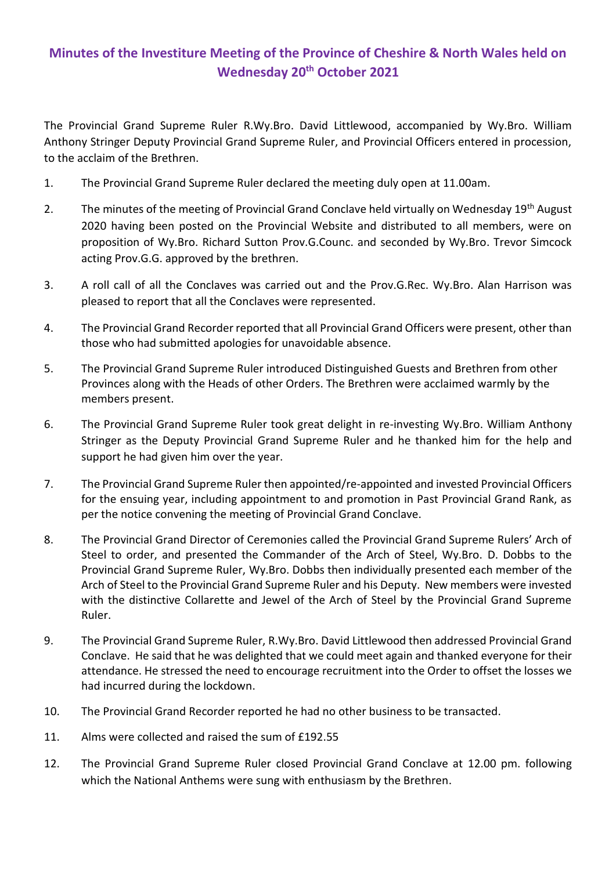## **Minutes of the Investiture Meeting of the Province of Cheshire & North Wales held on Wednesday 20th October 2021**

The Provincial Grand Supreme Ruler R.Wy.Bro. David Littlewood, accompanied by Wy.Bro. William Anthony Stringer Deputy Provincial Grand Supreme Ruler, and Provincial Officers entered in procession, to the acclaim of the Brethren.

- 1. The Provincial Grand Supreme Ruler declared the meeting duly open at 11.00am.
- 2. The minutes of the meeting of Provincial Grand Conclave held virtually on Wednesday 19<sup>th</sup> August 2020 having been posted on the Provincial Website and distributed to all members, were on proposition of Wy.Bro. Richard Sutton Prov.G.Counc. and seconded by Wy.Bro. Trevor Simcock acting Prov.G.G. approved by the brethren.
- 3. A roll call of all the Conclaves was carried out and the Prov.G.Rec. Wy.Bro. Alan Harrison was pleased to report that all the Conclaves were represented.
- 4. The Provincial Grand Recorder reported that all Provincial Grand Officers were present, other than those who had submitted apologies for unavoidable absence.
- 5. The Provincial Grand Supreme Ruler introduced Distinguished Guests and Brethren from other Provinces along with the Heads of other Orders. The Brethren were acclaimed warmly by the members present.
- 6. The Provincial Grand Supreme Ruler took great delight in re-investing Wy.Bro. William Anthony Stringer as the Deputy Provincial Grand Supreme Ruler and he thanked him for the help and support he had given him over the year.
- 7. The Provincial Grand Supreme Ruler then appointed/re-appointed and invested Provincial Officers for the ensuing year, including appointment to and promotion in Past Provincial Grand Rank, as per the notice convening the meeting of Provincial Grand Conclave.
- 8. The Provincial Grand Director of Ceremonies called the Provincial Grand Supreme Rulers' Arch of Steel to order, and presented the Commander of the Arch of Steel, Wy.Bro. D. Dobbs to the Provincial Grand Supreme Ruler, Wy.Bro. Dobbs then individually presented each member of the Arch of Steel to the Provincial Grand Supreme Ruler and his Deputy. New members were invested with the distinctive Collarette and Jewel of the Arch of Steel by the Provincial Grand Supreme Ruler.
- 9. The Provincial Grand Supreme Ruler, R.Wy.Bro. David Littlewood then addressed Provincial Grand Conclave. He said that he was delighted that we could meet again and thanked everyone for their attendance. He stressed the need to encourage recruitment into the Order to offset the losses we had incurred during the lockdown.
- 10. The Provincial Grand Recorder reported he had no other business to be transacted.
- 11. Alms were collected and raised the sum of £192.55
- 12. The Provincial Grand Supreme Ruler closed Provincial Grand Conclave at 12.00 pm. following which the National Anthems were sung with enthusiasm by the Brethren.